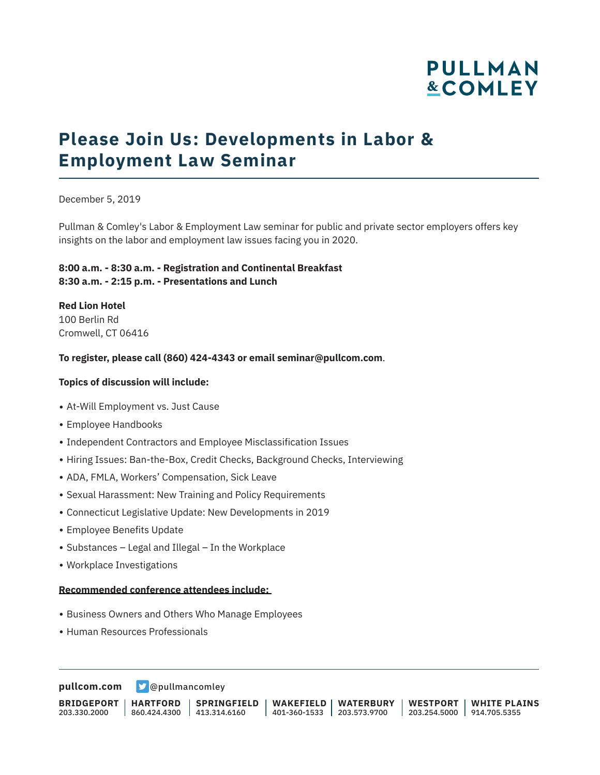# **PULLMAN &COMLEY**

## **Please Join Us: Developments in Labor & Employment Law Seminar**

December 5, 2019

Pullman & Comley's Labor & Employment Law seminar for public and private sector employers offers key insights on the labor and employment law issues facing you in 2020.

### **8:00 a.m. - 8:30 a.m. - Registration and Continental Breakfast 8:30 a.m. - 2:15 p.m. - Presentations and Lunch**

**Red Lion Hotel**  100 Berlin Rd Cromwell, CT 06416

### **To register, please call (860) 424-4343 or email seminar@pullcom.com**.

### **Topics of discussion will include:**

- At-Will Employment vs. Just Cause
- Employee Handbooks
- Independent Contractors and Employee Misclassification Issues
- Hiring Issues: Ban-the-Box, Credit Checks, Background Checks, Interviewing
- ADA, FMLA, Workers' Compensation, Sick Leave
- Sexual Harassment: New Training and Policy Requirements
- Connecticut Legislative Update: New Developments in 2019
- Employee Benefits Update
- Substances Legal and Illegal In the Workplace
- Workplace Investigations

#### **Recommended conference attendees include:**

- Business Owners and Others Who Manage Employees
- Human Resources Professionals

**[pullcom.com](https://www.pullcom.com) g** [@pullmancomley](https://twitter.com/PullmanComley)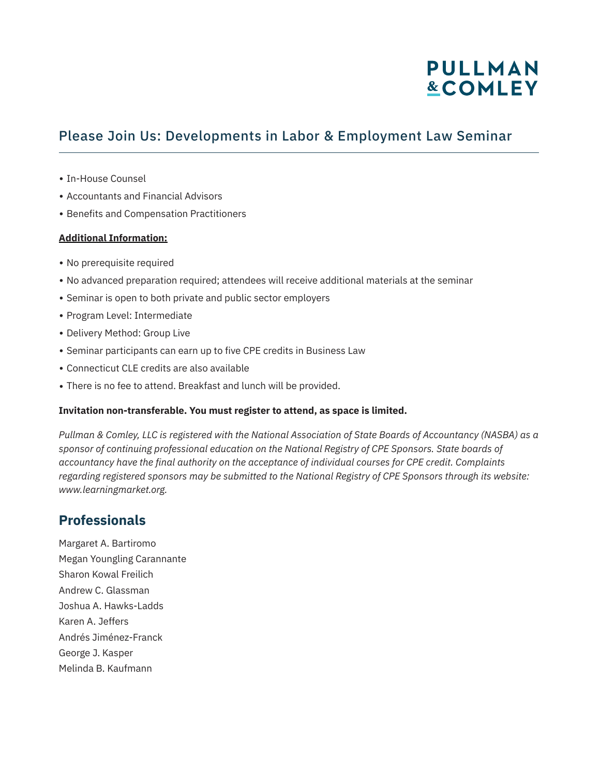## **PULLMAN &COMLEY**

### Please Join Us: Developments in Labor & Employment Law Seminar

- In-House Counsel
- Accountants and Financial Advisors
- Benefits and Compensation Practitioners

### **Additional Information:**

- No prerequisite required
- No advanced preparation required; attendees will receive additional materials at the seminar
- Seminar is open to both private and public sector employers
- Program Level: Intermediate
- Delivery Method: Group Live
- Seminar participants can earn up to five CPE credits in Business Law
- Connecticut CLE credits are also available
- There is no fee to attend. Breakfast and lunch will be provided.

#### **Invitation non-transferable. You must register to attend, as space is limited.**

*Pullman & Comley, LLC is registered with the National Association of State Boards of Accountancy (NASBA) as a sponsor of continuing professional education on the National Registry of CPE Sponsors. State boards of accountancy have the final authority on the acceptance of individual courses for CPE credit. Complaints regarding registered sponsors may be submitted to the National Registry of CPE Sponsors through its website: www.learningmarket.org.*

### **Professionals**

Margaret A. Bartiromo Megan Youngling Carannante Sharon Kowal Freilich Andrew C. Glassman Joshua A. Hawks-Ladds Karen A. Jeffers Andrés Jiménez-Franck George J. Kasper Melinda B. Kaufmann